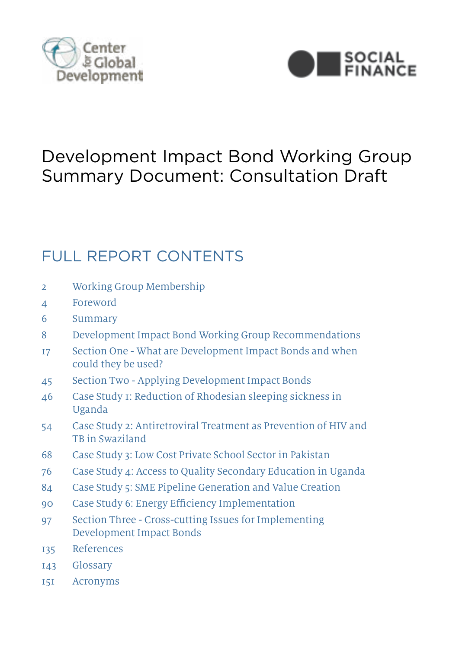



# Development Impact Bond Working Group Summary Document: Consultation Draft

# FULL REPORT CONTENTS

- 2 Working Group Membership
- 4 Foreword
- 6 Summary
- 8 Development Impact Bond Working Group Recommendations
- 17 Section One What are Development Impact Bonds and when could they be used?
- 45 Section Two Applying Development Impact Bonds
- 46 Case Study 1: Reduction of Rhodesian sleeping sickness in Uganda
- 54 Case Study 2: Antiretroviral Treatment as Prevention of HIV and TB in Swaziland
- 68 Case Study 3: Low Cost Private School Sector in Pakistan
- 76 Case Study 4: Access to Quality Secondary Education in Uganda
- 84 Case Study 5: SME Pipeline Generation and Value Creation
- 90 Case Study 6: Energy Efficiency Implementation
- 97 Section Three Cross-cutting Issues for Implementing Development Impact Bonds
- 135 References
- **Development Impact Bondary** 143 Glossary
- 151 Acronyms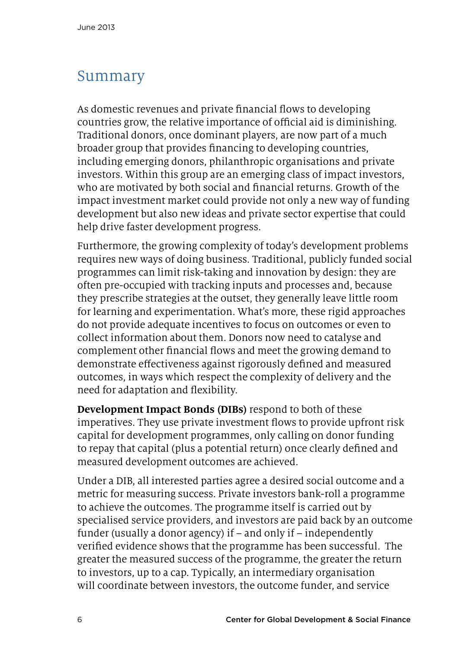## Summary

As domestic revenues and private financial flows to developing countries grow, the relative importance of official aid is diminishing. Traditional donors, once dominant players, are now part of a much broader group that provides financing to developing countries, including emerging donors, philanthropic organisations and private investors. Within this group are an emerging class of impact investors, who are motivated by both social and financial returns. Growth of the impact investment market could provide not only a new way of funding development but also new ideas and private sector expertise that could help drive faster development progress.

Furthermore, the growing complexity of today's development problems requires new ways of doing business. Traditional, publicly funded social programmes can limit risk-taking and innovation by design: they are often pre-occupied with tracking inputs and processes and, because they prescribe strategies at the outset, they generally leave little room for learning and experimentation. What's more, these rigid approaches do not provide adequate incentives to focus on outcomes or even to collect information about them. Donors now need to catalyse and complement other financial flows and meet the growing demand to demonstrate effectiveness against rigorously defined and measured outcomes, in ways which respect the complexity of delivery and the need for adaptation and flexibility.

**Development Impact Bonds (DIBs)** respond to both of these imperatives. They use private investment flows to provide upfront risk capital for development programmes, only calling on donor funding to repay that capital (plus a potential return) once clearly defined and measured development outcomes are achieved.

Under a DIB, all interested parties agree a desired social outcome and a metric for measuring success. Private investors bank-roll a programme to achieve the outcomes. The programme itself is carried out by specialised service providers, and investors are paid back by an outcome funder (usually a donor agency) if – and only if – independently verified evidence shows that the programme has been successful. The greater the measured success of the programme, the greater the return to investors, up to a cap. Typically, an intermediary organisation will coordinate between investors, the outcome funder, and service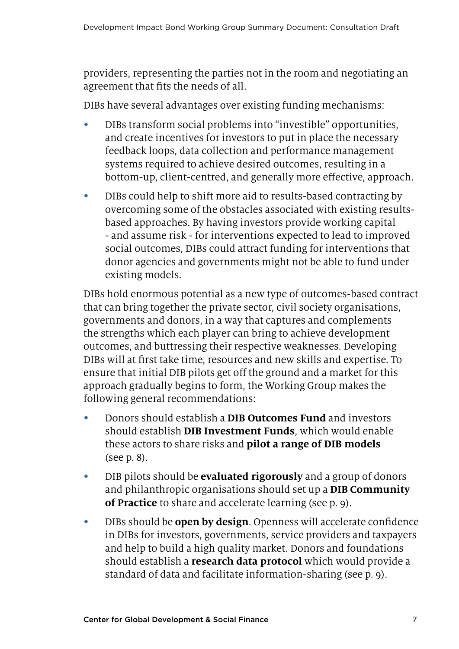providers, representing the parties not in the room and negotiating an agreement that fits the needs of all.

DIBs have several advantages over existing funding mechanisms:

- DIBs transform social problems into "investible" opportunities, and create incentives for investors to put in place the necessary feedback loops, data collection and performance management systems required to achieve desired outcomes, resulting in a bottom-up, client-centred, and generally more effective, approach.
- DIBs could help to shift more aid to results-based contracting by overcoming some of the obstacles associated with existing resultsbased approaches. By having investors provide working capital - and assume risk - for interventions expected to lead to improved social outcomes, DIBs could attract funding for interventions that donor agencies and governments might not be able to fund under existing models.

DIBs hold enormous potential as a new type of outcomes-based contract that can bring together the private sector, civil society organisations, governments and donors, in a way that captures and complements the strengths which each player can bring to achieve development outcomes, and buttressing their respective weaknesses. Developing DIBs will at first take time, resources and new skills and expertise. To ensure that initial DIB pilots get off the ground and a market for this approach gradually begins to form, the Working Group makes the following general recommendations:

- Donors should establish a **DIB Outcomes Fund** and investors should establish **DIB Investment Funds**, which would enable these actors to share risks and **pilot a range of DIB models** (see p. 8).
- DIB pilots should be **evaluated rigorously** and a group of donors and philanthropic organisations should set up a **DIB Community of Practice** to share and accelerate learning (see p. 9).
- DIBs should be **open by design**. Openness will accelerate confidence in DIBs for investors, governments, service providers and taxpayers and help to build a high quality market. Donors and foundations should establish a **research data protocol** which would provide a standard of data and facilitate information-sharing (see p. 9).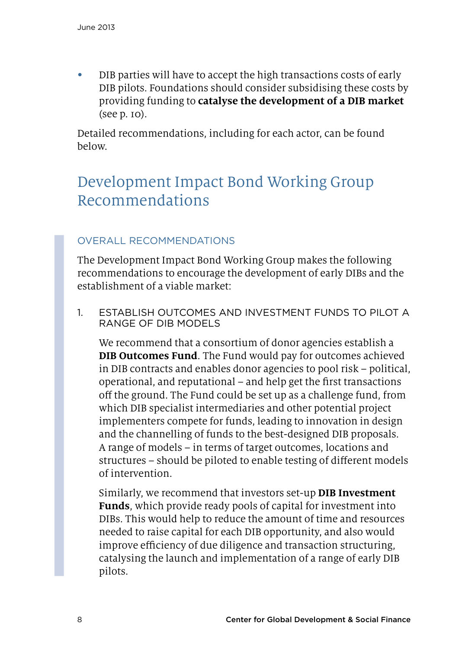• DIB parties will have to accept the high transactions costs of early DIB pilots. Foundations should consider subsidising these costs by providing funding to **catalyse the development of a DIB market**  (see p. 10).

Detailed recommendations, including for each actor, can be found below.

# Development Impact Bond Working Group Recommendations

### Overall Recommendations

The Development Impact Bond Working Group makes the following recommendations to encourage the development of early DIBs and the establishment of a viable market:

1. Establish outcomes and investment funds to pilot a range of DIB models

We recommend that a consortium of donor agencies establish a **DIB Outcomes Fund**. The Fund would pay for outcomes achieved in DIB contracts and enables donor agencies to pool risk – political, operational, and reputational – and help get the first transactions off the ground. The Fund could be set up as a challenge fund, from which DIB specialist intermediaries and other potential project implementers compete for funds, leading to innovation in design and the channelling of funds to the best-designed DIB proposals. A range of models – in terms of target outcomes, locations and structures – should be piloted to enable testing of different models of intervention.

Similarly, we recommend that investors set-up **DIB Investment Funds**, which provide ready pools of capital for investment into DIBs. This would help to reduce the amount of time and resources needed to raise capital for each DIB opportunity, and also would improve efficiency of due diligence and transaction structuring, catalysing the launch and implementation of a range of early DIB pilots.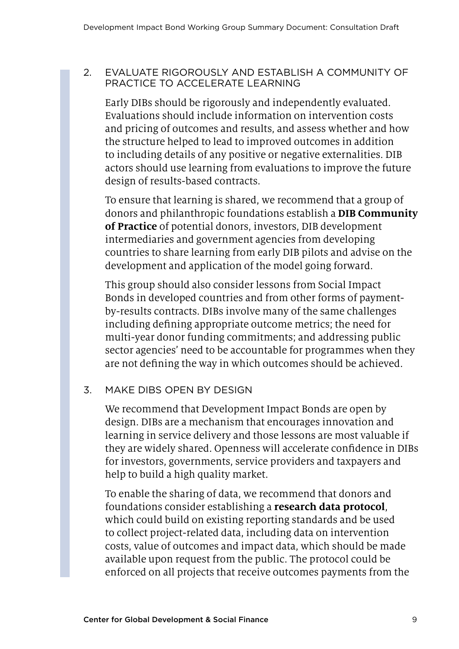#### 2. Evaluate rigorously and establish a community of practice to accelerate learning

Early DIBs should be rigorously and independently evaluated. Evaluations should include information on intervention costs and pricing of outcomes and results, and assess whether and how the structure helped to lead to improved outcomes in addition to including details of any positive or negative externalities. DIB actors should use learning from evaluations to improve the future design of results-based contracts.

To ensure that learning is shared, we recommend that a group of donors and philanthropic foundations establish a **DIB Community of Practice** of potential donors, investors, DIB development intermediaries and government agencies from developing countries to share learning from early DIB pilots and advise on the development and application of the model going forward.

This group should also consider lessons from Social Impact Bonds in developed countries and from other forms of paymentby-results contracts. DIBs involve many of the same challenges including defining appropriate outcome metrics; the need for multi-year donor funding commitments; and addressing public sector agencies' need to be accountable for programmes when they are not defining the way in which outcomes should be achieved.

### 3. Make DIBs open by design

We recommend that Development Impact Bonds are open by design. DIBs are a mechanism that encourages innovation and learning in service delivery and those lessons are most valuable if they are widely shared. Openness will accelerate confidence in DIBs for investors, governments, service providers and taxpayers and help to build a high quality market.

To enable the sharing of data, we recommend that donors and foundations consider establishing a **research data protocol**, which could build on existing reporting standards and be used to collect project-related data, including data on intervention costs, value of outcomes and impact data, which should be made available upon request from the public. The protocol could be enforced on all projects that receive outcomes payments from the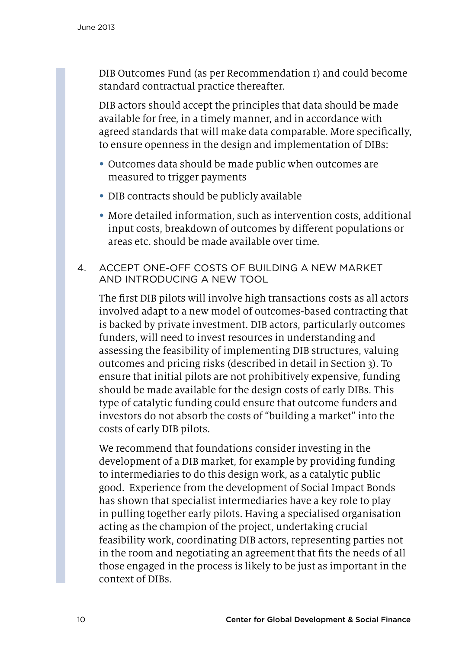DIB Outcomes Fund (as per Recommendation 1) and could become standard contractual practice thereafter.

DIB actors should accept the principles that data should be made available for free, in a timely manner, and in accordance with agreed standards that will make data comparable. More specifically, to ensure openness in the design and implementation of DIBs:

- Outcomes data should be made public when outcomes are measured to trigger payments
- DIB contracts should be publicly available
- More detailed information, such as intervention costs, additional input costs, breakdown of outcomes by different populations or areas etc. should be made available over time.
- 4. Accept one-off costs of building a new market and introducing a new tool

The first DIB pilots will involve high transactions costs as all actors involved adapt to a new model of outcomes-based contracting that is backed by private investment. DIB actors, particularly outcomes funders, will need to invest resources in understanding and assessing the feasibility of implementing DIB structures, valuing outcomes and pricing risks (described in detail in Section 3). To ensure that initial pilots are not prohibitively expensive, funding should be made available for the design costs of early DIBs. This type of catalytic funding could ensure that outcome funders and investors do not absorb the costs of "building a market" into the costs of early DIB pilots.

We recommend that foundations consider investing in the development of a DIB market, for example by providing funding to intermediaries to do this design work, as a catalytic public good. Experience from the development of Social Impact Bonds has shown that specialist intermediaries have a key role to play in pulling together early pilots. Having a specialised organisation acting as the champion of the project, undertaking crucial feasibility work, coordinating DIB actors, representing parties not in the room and negotiating an agreement that fits the needs of all those engaged in the process is likely to be just as important in the context of DIBs.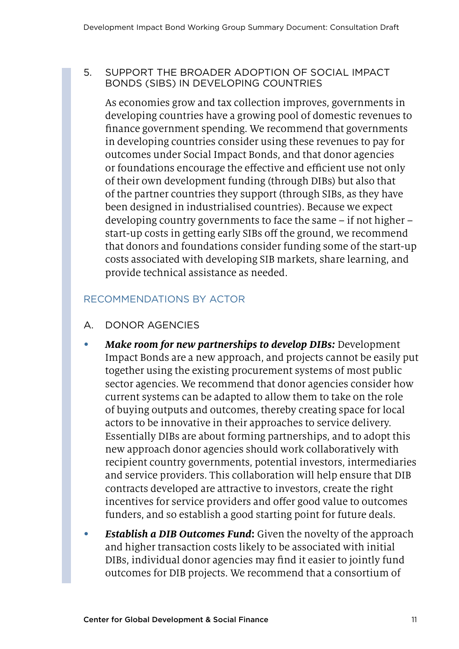#### 5. Support the broader adoption of Social Impact Bonds (SIBs) in developing countries

As economies grow and tax collection improves, governments in developing countries have a growing pool of domestic revenues to finance government spending. We recommend that governments in developing countries consider using these revenues to pay for outcomes under Social Impact Bonds, and that donor agencies or foundations encourage the effective and efficient use not only of their own development funding (through DIBs) but also that of the partner countries they support (through SIBs, as they have been designed in industrialised countries). Because we expect developing country governments to face the same – if not higher – start-up costs in getting early SIBs off the ground, we recommend that donors and foundations consider funding some of the start-up costs associated with developing SIB markets, share learning, and provide technical assistance as needed.

#### Recommendations by Actor

- A. Donor Agencies
- *Make room for new partnerships to develop DIBs: Development* Impact Bonds are a new approach, and projects cannot be easily put together using the existing procurement systems of most public sector agencies. We recommend that donor agencies consider how current systems can be adapted to allow them to take on the role of buying outputs and outcomes, thereby creating space for local actors to be innovative in their approaches to service delivery. Essentially DIBs are about forming partnerships, and to adopt this new approach donor agencies should work collaboratively with recipient country governments, potential investors, intermediaries and service providers. This collaboration will help ensure that DIB contracts developed are attractive to investors, create the right incentives for service providers and offer good value to outcomes funders, and so establish a good starting point for future deals.
- • *Establish a DIB Outcomes Fund***:** Given the novelty of the approach and higher transaction costs likely to be associated with initial DIBs, individual donor agencies may find it easier to jointly fund outcomes for DIB projects. We recommend that a consortium of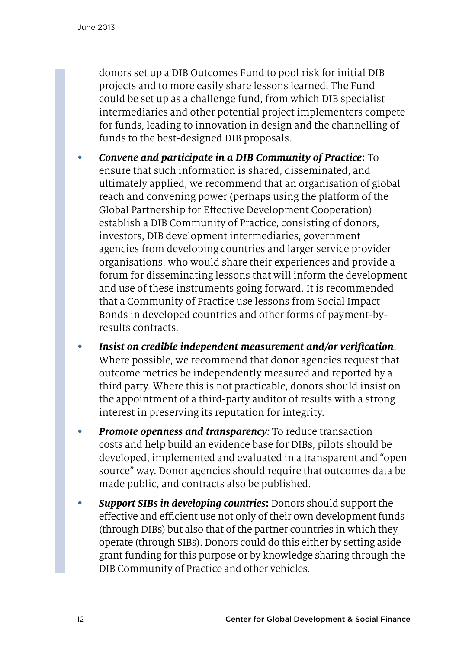donors set up a DIB Outcomes Fund to pool risk for initial DIB projects and to more easily share lessons learned. The Fund could be set up as a challenge fund, from which DIB specialist intermediaries and other potential project implementers compete for funds, leading to innovation in design and the channelling of funds to the best-designed DIB proposals.

- • *Convene and participate in a DIB Community of Practice***:** To ensure that such information is shared, disseminated, and ultimately applied, we recommend that an organisation of global reach and convening power (perhaps using the platform of the Global Partnership for Effective Development Cooperation) establish a DIB Community of Practice, consisting of donors, investors, DIB development intermediaries, government agencies from developing countries and larger service provider organisations, who would share their experiences and provide a forum for disseminating lessons that will inform the development and use of these instruments going forward. It is recommended that a Community of Practice use lessons from Social Impact Bonds in developed countries and other forms of payment-byresults contracts.
- • *Insist on credible independent measurement and/or verification*. Where possible, we recommend that donor agencies request that outcome metrics be independently measured and reported by a third party. Where this is not practicable, donors should insist on the appointment of a third-party auditor of results with a strong interest in preserving its reputation for integrity.
- • *Promote openness and transparency:* To reduce transaction costs and help build an evidence base for DIBs, pilots should be developed, implemented and evaluated in a transparent and "open source" way. Donor agencies should require that outcomes data be made public, and contracts also be published.
- • *Support SIBs in developing countries***:** Donors should support the effective and efficient use not only of their own development funds (through DIBs) but also that of the partner countries in which they operate (through SIBs). Donors could do this either by setting aside grant funding for this purpose or by knowledge sharing through the DIB Community of Practice and other vehicles.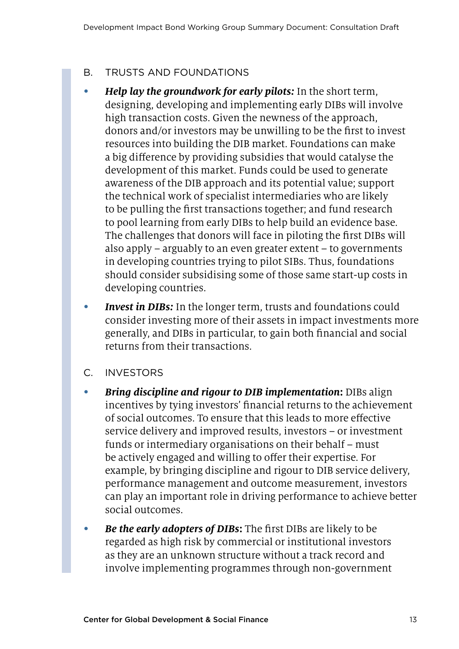### B. Trusts and Foundations

- • *Help lay the groundwork for early pilots:* In the short term, designing, developing and implementing early DIBs will involve high transaction costs. Given the newness of the approach, donors and/or investors may be unwilling to be the first to invest resources into building the DIB market. Foundations can make a big difference by providing subsidies that would catalyse the development of this market. Funds could be used to generate awareness of the DIB approach and its potential value; support the technical work of specialist intermediaries who are likely to be pulling the first transactions together; and fund research to pool learning from early DIBs to help build an evidence base. The challenges that donors will face in piloting the first DIBs will also apply – arguably to an even greater extent – to governments in developing countries trying to pilot SIBs. Thus, foundations should consider subsidising some of those same start-up costs in developing countries.
- • *Invest in DIBs:* In the longer term, trusts and foundations could consider investing more of their assets in impact investments more generally, and DIBs in particular, to gain both financial and social returns from their transactions.
- C. Investors
- *Bring discipline and rigour to DIB implementation:* **DIBs align** incentives by tying investors' financial returns to the achievement of social outcomes. To ensure that this leads to more effective service delivery and improved results, investors – or investment funds or intermediary organisations on their behalf – must be actively engaged and willing to offer their expertise. For example, by bringing discipline and rigour to DIB service delivery, performance management and outcome measurement, investors can play an important role in driving performance to achieve better social outcomes.
- • *Be the early adopters of DIBs***:** The first DIBs are likely to be regarded as high risk by commercial or institutional investors as they are an unknown structure without a track record and involve implementing programmes through non-government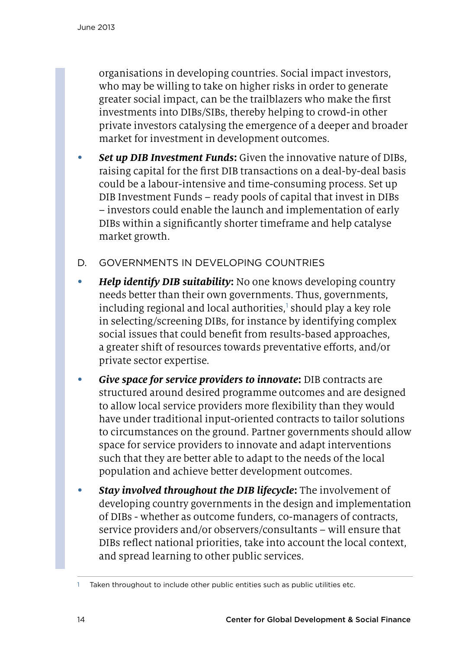organisations in developing countries. Social impact investors, who may be willing to take on higher risks in order to generate greater social impact, can be the trailblazers who make the first investments into DIBs/SIBs, thereby helping to crowd-in other private investors catalysing the emergence of a deeper and broader market for investment in development outcomes.

- **Set up DIB Investment Funds:** Given the innovative nature of DIBs, raising capital for the first DIB transactions on a deal-by-deal basis could be a labour-intensive and time-consuming process. Set up DIB Investment Funds – ready pools of capital that invest in DIBs – investors could enable the launch and implementation of early DIBs within a significantly shorter timeframe and help catalyse market growth.
- D. Governments in developing countries
- *Help identify DIB suitability***:** No one knows developing country needs better than their own governments. Thus, governments, including regional and local authorities,' should play a key role in selecting/screening DIBs, for instance by identifying complex social issues that could benefit from results-based approaches, a greater shift of resources towards preventative efforts, and/or private sector expertise.
- • *Give space for service providers to innovate***:** DIB contracts are structured around desired programme outcomes and are designed to allow local service providers more flexibility than they would have under traditional input-oriented contracts to tailor solutions to circumstances on the ground. Partner governments should allow space for service providers to innovate and adapt interventions such that they are better able to adapt to the needs of the local population and achieve better development outcomes.
- **Stay involved throughout the DIB lifecycle:** The involvement of developing country governments in the design and implementation of DIBs - whether as outcome funders, co-managers of contracts, service providers and/or observers/consultants – will ensure that DIBs reflect national priorities, take into account the local context, and spread learning to other public services.

Taken throughout to include other public entities such as public utilities etc.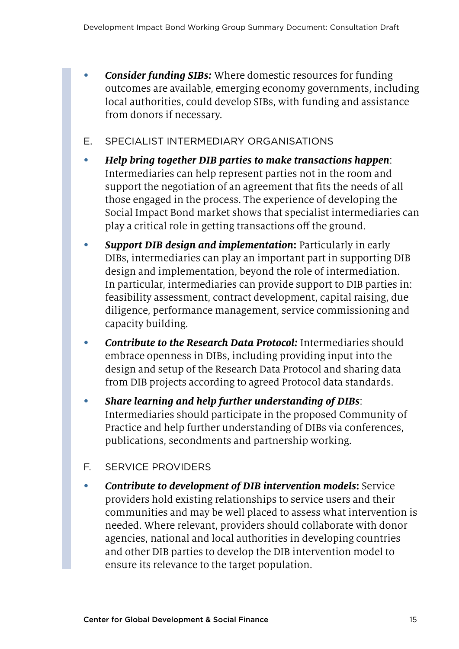- **Consider funding SIBs:** Where domestic resources for funding outcomes are available, emerging economy governments, including local authorities, could develop SIBs, with funding and assistance from donors if necessary.
- E. Specialist intermediary organisations
- • *Help bring together DIB parties to make transactions happen*: Intermediaries can help represent parties not in the room and support the negotiation of an agreement that fits the needs of all those engaged in the process. The experience of developing the Social Impact Bond market shows that specialist intermediaries can play a critical role in getting transactions off the ground.
- **Support DIB design and implementation:** Particularly in early DIBs, intermediaries can play an important part in supporting DIB design and implementation, beyond the role of intermediation. In particular, intermediaries can provide support to DIB parties in: feasibility assessment, contract development, capital raising, due diligence, performance management, service commissioning and capacity building.
- • *Contribute to the Research Data Protocol:* Intermediaries should embrace openness in DIBs, including providing input into the design and setup of the Research Data Protocol and sharing data from DIB projects according to agreed Protocol data standards.
- • *Share learning and help further understanding of DIBs*: Intermediaries should participate in the proposed Community of Practice and help further understanding of DIBs via conferences, publications, secondments and partnership working.
- F. Service providers
- • *Contribute to development of DIB intervention models***:** Service providers hold existing relationships to service users and their communities and may be well placed to assess what intervention is needed. Where relevant, providers should collaborate with donor agencies, national and local authorities in developing countries and other DIB parties to develop the DIB intervention model to ensure its relevance to the target population.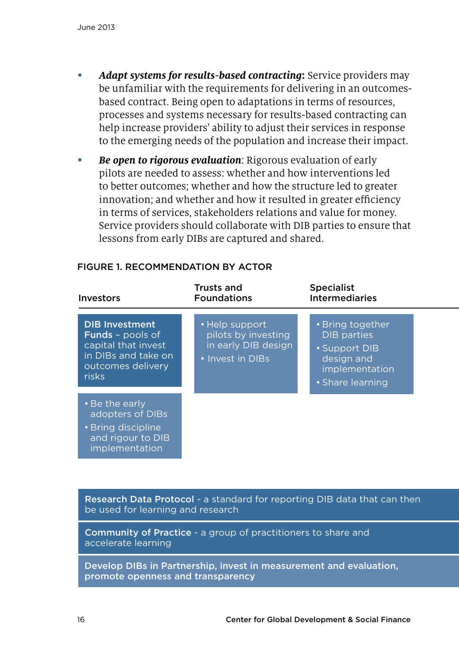- Adapt systems for results-based contracting: Service providers may be unfamiliar with the requirements for delivering in an outcomesbased contract. Being open to adaptations in terms of resources, processes and systems necessary for results-based contracting can help increase providers' ability to adjust their services in response to the emerging needs of the population and increase their impact.
- **Be open to rigorous evaluation**: Rigorous evaluation of early pilots are needed to assess: whether and how interventions led to better outcomes; whether and how the structure led to greater innovation; and whether and how it resulted in greater efficiency in terms of services, stakeholders relations and value for money. Service providers should collaborate with DIB parties to ensure that lessons from early DIBs are captured and shared.

| <b>Investors</b>                                                                                                             | <b>Trusts and</b><br><b>Foundations</b>                                          | <b>Specialist</b><br><b>Intermediaries</b>                                                                  |
|------------------------------------------------------------------------------------------------------------------------------|----------------------------------------------------------------------------------|-------------------------------------------------------------------------------------------------------------|
| <b>DIB Investment</b><br><b>Funds</b> - pools of<br>capital that invest<br>in DIBs and take on<br>outcomes delivery<br>risks | • Help support<br>pilots by investing<br>in early DIB design<br>• Invest in DIBs | • Bring together<br><b>DIB</b> parties<br>• Support DIB<br>design and<br>implementation<br>• Share learning |
| • Be the early<br>adopters of DIBs<br>• Bring discipline<br>and rigour to DIB<br>implementation                              |                                                                                  |                                                                                                             |

#### Figure 1. Recommendation by actor

Research Data Protocol - a standard for reporting DIB data that can then be used for learning and research

Community of Practice - a group of practitioners to share and accelerate learning

Develop DIBs in Partnership, invest in measurement and evaluation, promote openness and transparency